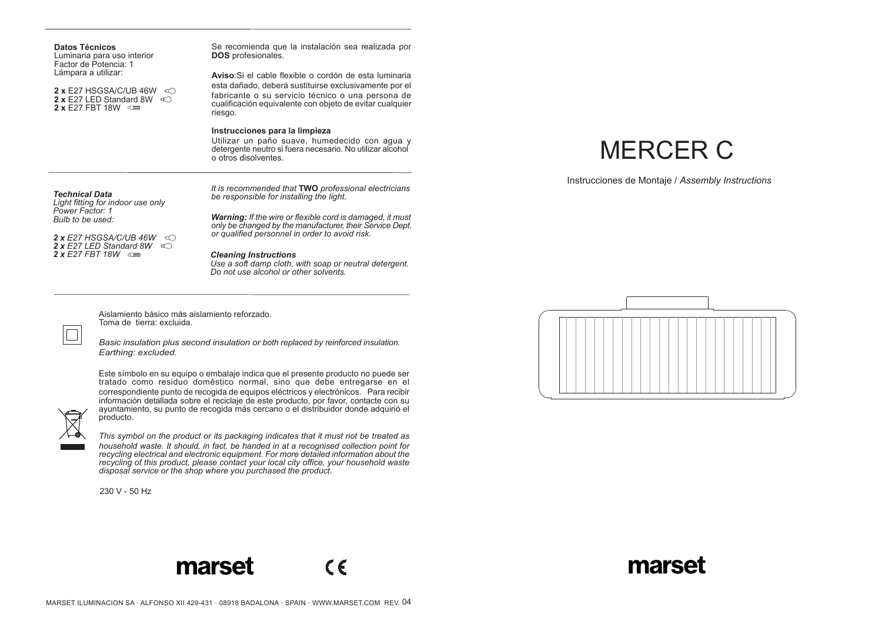| <b>Datos Técnicos</b><br>Luminaria para uso interior<br>Factor de Potencia: 1                                                            | Se recomienda que la instalación sea realizada por<br><b>DOS</b> profesionales.                                                                                                                                                             |                                                  |
|------------------------------------------------------------------------------------------------------------------------------------------|---------------------------------------------------------------------------------------------------------------------------------------------------------------------------------------------------------------------------------------------|--------------------------------------------------|
| Lámpara a utilizar:<br><b>2 x</b> E27 HSGSA/C/UB 46W $\leq$<br><b>2 x</b> E27 LED Standard 8W $\infty$<br>$2 \times$ E27 FBT 18W $\circ$ | Aviso: Si el cable flexible o cordón de esta luminaria<br>esta dañado, deberá sustituirse exclusivamente por el<br>fabricante o su servicio técnico o una persona de<br>cualificación equivalente con objeto de evitar cualquier<br>riesgo. |                                                  |
|                                                                                                                                          | Instrucciones para la limpieza<br>Utilizar un paño suave, humedecido con agua y<br>detergente neutro si fuera necesario. No utilizar alcohol<br>o otros disolventes.                                                                        | <b>MERCER C</b>                                  |
| <b>Technical Data</b><br>Light fitting for indoor use only<br>Power Factor: 1<br>Bulb to be used:                                        | It is recommended that TWO professional electricians<br>be responsible for installing the light.<br><b>Warning:</b> If the wire or flexible cord is damaged, it must<br>only be changed by the manufacturer, their Service Dept.            | Instrucciones de Montaje / Assembly Instructions |
| <b>2 x</b> E27 HSGSA/C/UB 46W $\leq$<br>2 x E27 LED Standard 8W $\infty$<br>2 x E27 FBT 18W $\circ$                                      | or qualified personnel in order to avoid risk.<br><b>Cleaning Instructions</b><br>Use a soft damp cloth, with soap or neutral detergent.<br>Do not use alcohol or other solvents.                                                           |                                                  |

Aislamiento básico más aislamiento reforzado. Toma de tierra: excluida.

*Basic insulation plus second insulation or both replaced by reinforced insulation. Earthing: excluded.*



Este símbolo en su equipo o embalaje indica que el presente producto no puede ser tratado como residuo doméstico normal, sino que debe entregarse en el correspondiente punto de recogida de equipos eléctricos y electrónicos. Para recibir información detallada sobre el reciclaje de este producto, por favor, contacte con su ayuntamiento, su punto de recogida más cercano o el distribuidor donde adquirió el producto.

*This symbol on the product or its packaging indicates that it must not be treated as household waste. It should, in fact, be handed in at a recognised collection point for recycling electrical and electronic equipment. For more detailed information about the recycling of this product, please contact your local city office, your household waste disposal service or the shop where you purchased the product.*

230 V - 50 Hz